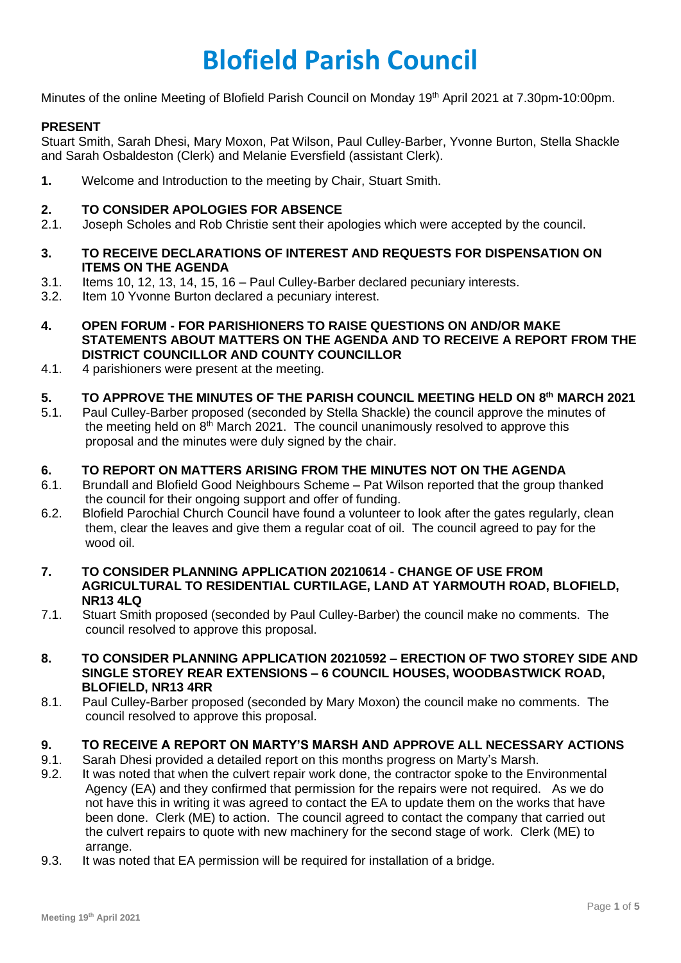# **Blofield Parish Council**

Minutes of the online Meeting of Blofield Parish Council on Monday 19<sup>th</sup> April 2021 at 7.30pm-10:00pm.

# **PRESENT**

Stuart Smith, Sarah Dhesi, Mary Moxon, Pat Wilson, Paul Culley-Barber, Yvonne Burton, Stella Shackle and Sarah Osbaldeston (Clerk) and Melanie Eversfield (assistant Clerk).

**1.** Welcome and Introduction to the meeting by Chair, Stuart Smith.

## **2. TO CONSIDER APOLOGIES FOR ABSENCE**

- 2.1. Joseph Scholes and Rob Christie sent their apologies which were accepted by the council.
- **3. TO RECEIVE DECLARATIONS OF INTEREST AND REQUESTS FOR DISPENSATION ON ITEMS ON THE AGENDA**
- 3.1. Items 10, 12, 13, 14, 15, 16 Paul Culley-Barber declared pecuniary interests.
- 3.2. Item 10 Yvonne Burton declared a pecuniary interest.
- **4. OPEN FORUM - FOR PARISHIONERS TO RAISE QUESTIONS ON AND/OR MAKE STATEMENTS ABOUT MATTERS ON THE AGENDA AND TO RECEIVE A REPORT FROM THE DISTRICT COUNCILLOR AND COUNTY COUNCILLOR**
- 4.1. 4 parishioners were present at the meeting.

## **5. TO APPROVE THE MINUTES OF THE PARISH COUNCIL MEETING HELD ON 8 th MARCH 2021**

5.1. Paul Culley-Barber proposed (seconded by Stella Shackle) the council approve the minutes of the meeting held on  $8<sup>th</sup>$  March 2021. The council unanimously resolved to approve this proposal and the minutes were duly signed by the chair.

# **6. TO REPORT ON MATTERS ARISING FROM THE MINUTES NOT ON THE AGENDA**

- 6.1. Brundall and Blofield Good Neighbours Scheme Pat Wilson reported that the group thanked the council for their ongoing support and offer of funding.
- 6.2. Blofield Parochial Church Council have found a volunteer to look after the gates regularly, clean them, clear the leaves and give them a regular coat of oil. The council agreed to pay for the wood oil.
- **7. TO CONSIDER PLANNING APPLICATION 20210614 - CHANGE OF USE FROM AGRICULTURAL TO RESIDENTIAL CURTILAGE, LAND AT YARMOUTH ROAD, BLOFIELD, NR13 4LQ**
- 7.1. Stuart Smith proposed (seconded by Paul Culley-Barber) the council make no comments. The council resolved to approve this proposal.
- **8. TO CONSIDER PLANNING APPLICATION 20210592 – ERECTION OF TWO STOREY SIDE AND SINGLE STOREY REAR EXTENSIONS – 6 COUNCIL HOUSES, WOODBASTWICK ROAD, BLOFIELD, NR13 4RR**
- 8.1. Paul Culley-Barber proposed (seconded by Mary Moxon) the council make no comments. The council resolved to approve this proposal.

# **9. TO RECEIVE A REPORT ON MARTY'S MARSH AND APPROVE ALL NECESSARY ACTIONS**

- 9.1. Sarah Dhesi provided a detailed report on this months progress on Marty's Marsh.
- 9.2. It was noted that when the culvert repair work done, the contractor spoke to the Environmental Agency (EA) and they confirmed that permission for the repairs were not required. As we do not have this in writing it was agreed to contact the EA to update them on the works that have been done. Clerk (ME) to action. The council agreed to contact the company that carried out the culvert repairs to quote with new machinery for the second stage of work. Clerk (ME) to arrange.
- 9.3. It was noted that EA permission will be required for installation of a bridge.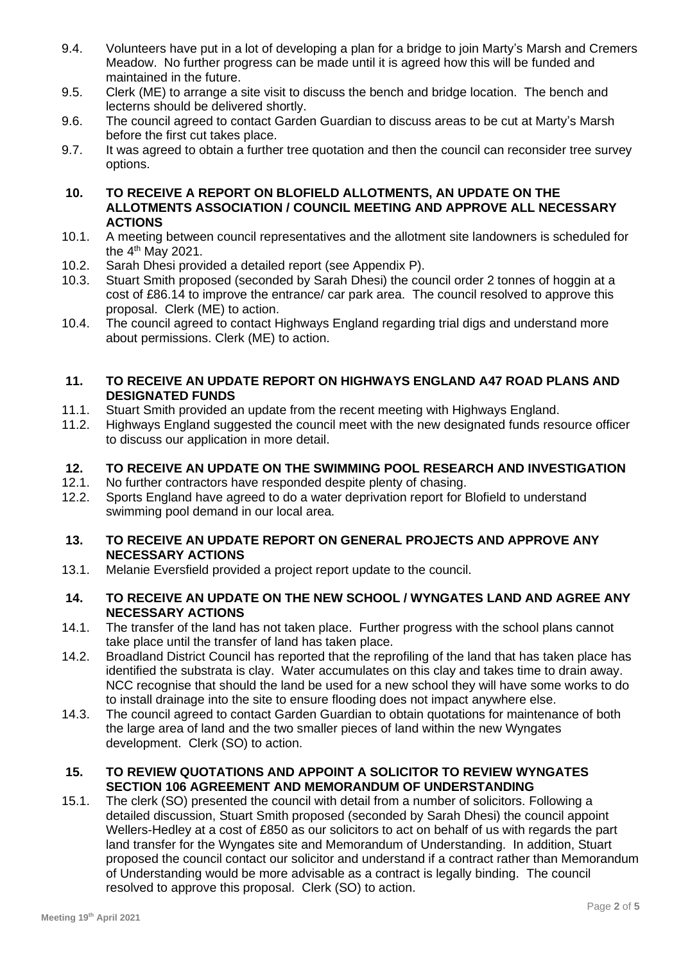- 9.4. Volunteers have put in a lot of developing a plan for a bridge to join Marty's Marsh and Cremers Meadow. No further progress can be made until it is agreed how this will be funded and maintained in the future.
- 9.5. Clerk (ME) to arrange a site visit to discuss the bench and bridge location. The bench and lecterns should be delivered shortly.
- 9.6. The council agreed to contact Garden Guardian to discuss areas to be cut at Marty's Marsh before the first cut takes place.
- 9.7. It was agreed to obtain a further tree quotation and then the council can reconsider tree survey options.
- **10. TO RECEIVE A REPORT ON BLOFIELD ALLOTMENTS, AN UPDATE ON THE ALLOTMENTS ASSOCIATION / COUNCIL MEETING AND APPROVE ALL NECESSARY ACTIONS**
- 10.1. A meeting between council representatives and the allotment site landowners is scheduled for the  $4<sup>th</sup>$  May 2021.
- 10.2. Sarah Dhesi provided a detailed report (see Appendix P).
- 10.3. Stuart Smith proposed (seconded by Sarah Dhesi) the council order 2 tonnes of hoggin at a cost of £86.14 to improve the entrance/ car park area. The council resolved to approve this proposal. Clerk (ME) to action.
- 10.4. The council agreed to contact Highways England regarding trial digs and understand more about permissions. Clerk (ME) to action.

## **11. TO RECEIVE AN UPDATE REPORT ON HIGHWAYS ENGLAND A47 ROAD PLANS AND DESIGNATED FUNDS**

- 11.1. Stuart Smith provided an update from the recent meeting with Highways England.
- 11.2. Highways England suggested the council meet with the new designated funds resource officer to discuss our application in more detail.

## **12. TO RECEIVE AN UPDATE ON THE SWIMMING POOL RESEARCH AND INVESTIGATION**

- 12.1. No further contractors have responded despite plenty of chasing.
- 12.2. Sports England have agreed to do a water deprivation report for Blofield to understand swimming pool demand in our local area.

#### **13. TO RECEIVE AN UPDATE REPORT ON GENERAL PROJECTS AND APPROVE ANY NECESSARY ACTIONS**

13.1. Melanie Eversfield provided a project report update to the council.

## **14. TO RECEIVE AN UPDATE ON THE NEW SCHOOL / WYNGATES LAND AND AGREE ANY NECESSARY ACTIONS**

- 14.1. The transfer of the land has not taken place. Further progress with the school plans cannot take place until the transfer of land has taken place.
- 14.2. Broadland District Council has reported that the reprofiling of the land that has taken place has identified the substrata is clay. Water accumulates on this clay and takes time to drain away. NCC recognise that should the land be used for a new school they will have some works to do to install drainage into the site to ensure flooding does not impact anywhere else.
- 14.3. The council agreed to contact Garden Guardian to obtain quotations for maintenance of both the large area of land and the two smaller pieces of land within the new Wyngates development. Clerk (SO) to action.

## **15. TO REVIEW QUOTATIONS AND APPOINT A SOLICITOR TO REVIEW WYNGATES SECTION 106 AGREEMENT AND MEMORANDUM OF UNDERSTANDING**

15.1. The clerk (SO) presented the council with detail from a number of solicitors. Following a detailed discussion, Stuart Smith proposed (seconded by Sarah Dhesi) the council appoint Wellers-Hedley at a cost of £850 as our solicitors to act on behalf of us with regards the part land transfer for the Wyngates site and Memorandum of Understanding. In addition, Stuart proposed the council contact our solicitor and understand if a contract rather than Memorandum of Understanding would be more advisable as a contract is legally binding. The council resolved to approve this proposal. Clerk (SO) to action.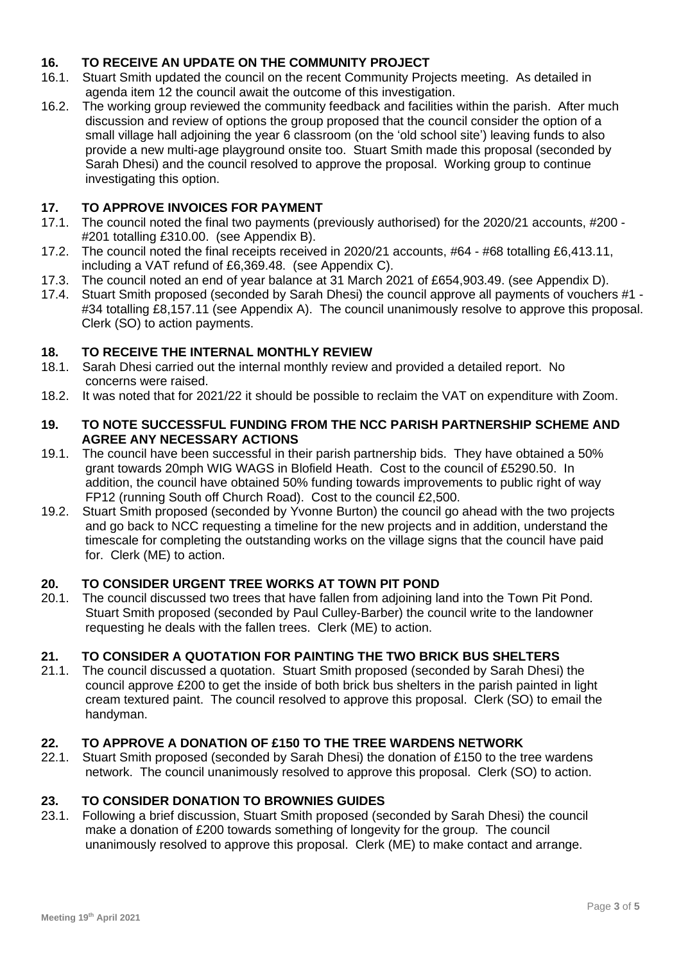# **16. TO RECEIVE AN UPDATE ON THE COMMUNITY PROJECT**

- 16.1. Stuart Smith updated the council on the recent Community Projects meeting. As detailed in agenda item 12 the council await the outcome of this investigation.
- 16.2. The working group reviewed the community feedback and facilities within the parish. After much discussion and review of options the group proposed that the council consider the option of a small village hall adjoining the year 6 classroom (on the 'old school site') leaving funds to also provide a new multi-age playground onsite too. Stuart Smith made this proposal (seconded by Sarah Dhesi) and the council resolved to approve the proposal. Working group to continue investigating this option.

# **17. TO APPROVE INVOICES FOR PAYMENT**

- 17.1. The council noted the final two payments (previously authorised) for the 2020/21 accounts, #200 #201 totalling £310.00. (see Appendix B).
- 17.2. The council noted the final receipts received in 2020/21 accounts, #64 #68 totalling £6,413.11, including a VAT refund of £6,369.48. (see Appendix C).
- 17.3. The council noted an end of year balance at 31 March 2021 of £654,903.49. (see Appendix D).
- 17.4. Stuart Smith proposed (seconded by Sarah Dhesi) the council approve all payments of vouchers #1 #34 totalling £8,157.11 (see Appendix A). The council unanimously resolve to approve this proposal. Clerk (SO) to action payments.

## **18. TO RECEIVE THE INTERNAL MONTHLY REVIEW**

- 18.1. Sarah Dhesi carried out the internal monthly review and provided a detailed report. No concerns were raised.
- 18.2. It was noted that for 2021/22 it should be possible to reclaim the VAT on expenditure with Zoom.

#### **19. TO NOTE SUCCESSFUL FUNDING FROM THE NCC PARISH PARTNERSHIP SCHEME AND AGREE ANY NECESSARY ACTIONS**

- 19.1. The council have been successful in their parish partnership bids. They have obtained a 50% grant towards 20mph WIG WAGS in Blofield Heath. Cost to the council of £5290.50. In addition, the council have obtained 50% funding towards improvements to public right of way FP12 (running South off Church Road). Cost to the council £2,500.
- 19.2. Stuart Smith proposed (seconded by Yvonne Burton) the council go ahead with the two projects and go back to NCC requesting a timeline for the new projects and in addition, understand the timescale for completing the outstanding works on the village signs that the council have paid for. Clerk (ME) to action.

## **20. TO CONSIDER URGENT TREE WORKS AT TOWN PIT POND**

20.1. The council discussed two trees that have fallen from adjoining land into the Town Pit Pond. Stuart Smith proposed (seconded by Paul Culley-Barber) the council write to the landowner requesting he deals with the fallen trees. Clerk (ME) to action.

## **21. TO CONSIDER A QUOTATION FOR PAINTING THE TWO BRICK BUS SHELTERS**

21.1. The council discussed a quotation. Stuart Smith proposed (seconded by Sarah Dhesi) the council approve £200 to get the inside of both brick bus shelters in the parish painted in light cream textured paint. The council resolved to approve this proposal. Clerk (SO) to email the handyman.

## **22. TO APPROVE A DONATION OF £150 TO THE TREE WARDENS NETWORK**

22.1. Stuart Smith proposed (seconded by Sarah Dhesi) the donation of £150 to the tree wardens network. The council unanimously resolved to approve this proposal. Clerk (SO) to action.

## **23. TO CONSIDER DONATION TO BROWNIES GUIDES**

23.1. Following a brief discussion, Stuart Smith proposed (seconded by Sarah Dhesi) the council make a donation of £200 towards something of longevity for the group. The council unanimously resolved to approve this proposal. Clerk (ME) to make contact and arrange.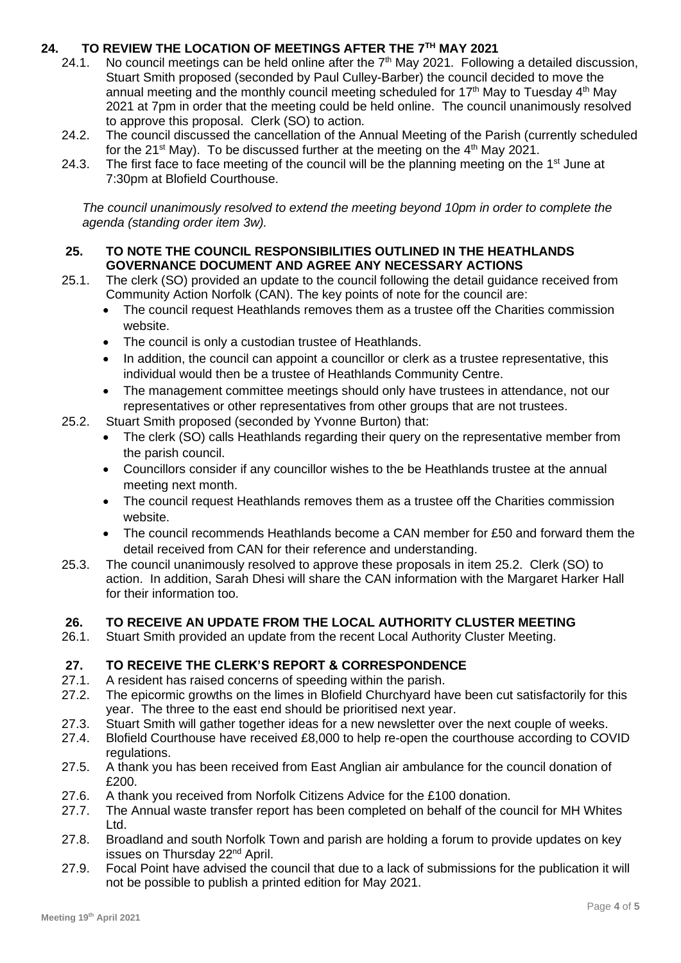# **24. TO REVIEW THE LOCATION OF MEETINGS AFTER THE 7TH MAY 2021**

- 24.1. No council meetings can be held online after the 7<sup>th</sup> May 2021. Following a detailed discussion, Stuart Smith proposed (seconded by Paul Culley-Barber) the council decided to move the annual meeting and the monthly council meeting scheduled for  $17<sup>th</sup>$  May to Tuesday  $4<sup>th</sup>$  May 2021 at 7pm in order that the meeting could be held online. The council unanimously resolved to approve this proposal. Clerk (SO) to action.
- 24.2. The council discussed the cancellation of the Annual Meeting of the Parish (currently scheduled for the  $21^{st}$  May). To be discussed further at the meeting on the  $4^{th}$  May 2021.
- 24.3. The first face to face meeting of the council will be the planning meeting on the  $1<sup>st</sup>$  June at 7:30pm at Blofield Courthouse.

*The council unanimously resolved to extend the meeting beyond 10pm in order to complete the agenda (standing order item 3w).*

## **25. TO NOTE THE COUNCIL RESPONSIBILITIES OUTLINED IN THE HEATHLANDS GOVERNANCE DOCUMENT AND AGREE ANY NECESSARY ACTIONS**

- 25.1. The clerk (SO) provided an update to the council following the detail guidance received from Community Action Norfolk (CAN). The key points of note for the council are:
	- The council request Heathlands removes them as a trustee off the Charities commission website.
	- The council is only a custodian trustee of Heathlands.
	- In addition, the council can appoint a councillor or clerk as a trustee representative, this individual would then be a trustee of Heathlands Community Centre.
	- The management committee meetings should only have trustees in attendance, not our representatives or other representatives from other groups that are not trustees.
- 25.2. Stuart Smith proposed (seconded by Yvonne Burton) that:
	- The clerk (SO) calls Heathlands regarding their query on the representative member from the parish council.
	- Councillors consider if any councillor wishes to the be Heathlands trustee at the annual meeting next month.
	- The council request Heathlands removes them as a trustee off the Charities commission website.
	- The council recommends Heathlands become a CAN member for £50 and forward them the detail received from CAN for their reference and understanding.
- 25.3. The council unanimously resolved to approve these proposals in item 25.2. Clerk (SO) to action. In addition, Sarah Dhesi will share the CAN information with the Margaret Harker Hall for their information too.

## **26. TO RECEIVE AN UPDATE FROM THE LOCAL AUTHORITY CLUSTER MEETING**

26.1. Stuart Smith provided an update from the recent Local Authority Cluster Meeting.

# **27. TO RECEIVE THE CLERK'S REPORT & CORRESPONDENCE**

- 27.1. A resident has raised concerns of speeding within the parish.
- 27.2. The epicormic growths on the limes in Blofield Churchyard have been cut satisfactorily for this year. The three to the east end should be prioritised next year.
- 27.3. Stuart Smith will gather together ideas for a new newsletter over the next couple of weeks.
- 27.4. Blofield Courthouse have received £8,000 to help re-open the courthouse according to COVID regulations.
- 27.5. A thank you has been received from East Anglian air ambulance for the council donation of £200.
- 27.6. A thank you received from Norfolk Citizens Advice for the £100 donation.
- 27.7. The Annual waste transfer report has been completed on behalf of the council for MH Whites Ltd.
- 27.8. Broadland and south Norfolk Town and parish are holding a forum to provide updates on key issues on Thursday 22nd April.
- 27.9. Focal Point have advised the council that due to a lack of submissions for the publication it will not be possible to publish a printed edition for May 2021.